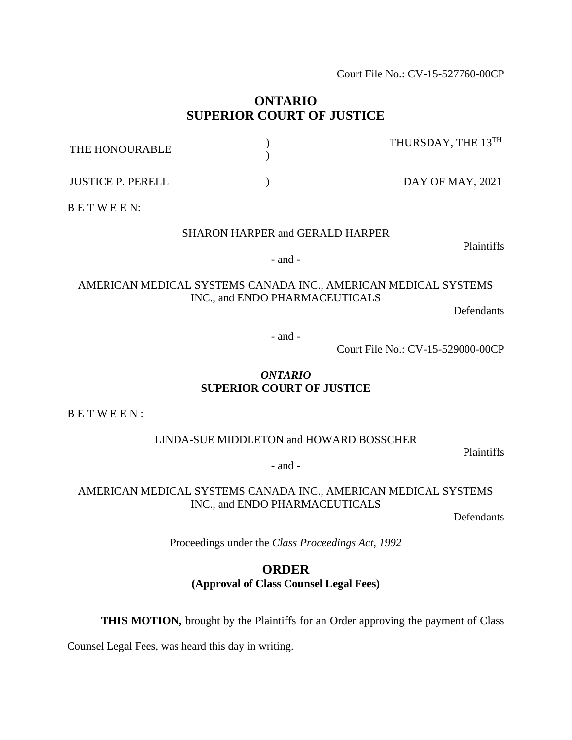Court File No.: CV-15-527760-00CP

## **ONTARIO SUPERIOR COURT OF JUSTICE**

| THE HONOURABLE           | THURSDAY, THE 13TH |
|--------------------------|--------------------|
| <b>JUSTICE P. PERELL</b> | DAY OF MAY, 2021   |

B E T W E E N:

#### SHARON HARPER and GERALD HARPER

Plaintiffs

- and -

#### AMERICAN MEDICAL SYSTEMS CANADA INC., AMERICAN MEDICAL SYSTEMS INC., and ENDO PHARMACEUTICALS

Defendants

- and -

Court File No.: CV-15-529000-00CP

#### *ONTARIO* **SUPERIOR COURT OF JUSTICE**

B E T W E E N :

LINDA-SUE MIDDLETON and HOWARD BOSSCHER

Plaintiffs

- and -

AMERICAN MEDICAL SYSTEMS CANADA INC., AMERICAN MEDICAL SYSTEMS INC., and ENDO PHARMACEUTICALS

Defendants

Proceedings under the *Class Proceedings Act, 1992*

# **ORDER**

**(Approval of Class Counsel Legal Fees)**

**THIS MOTION,** brought by the Plaintiffs for an Order approving the payment of Class

Counsel Legal Fees, was heard this day in writing.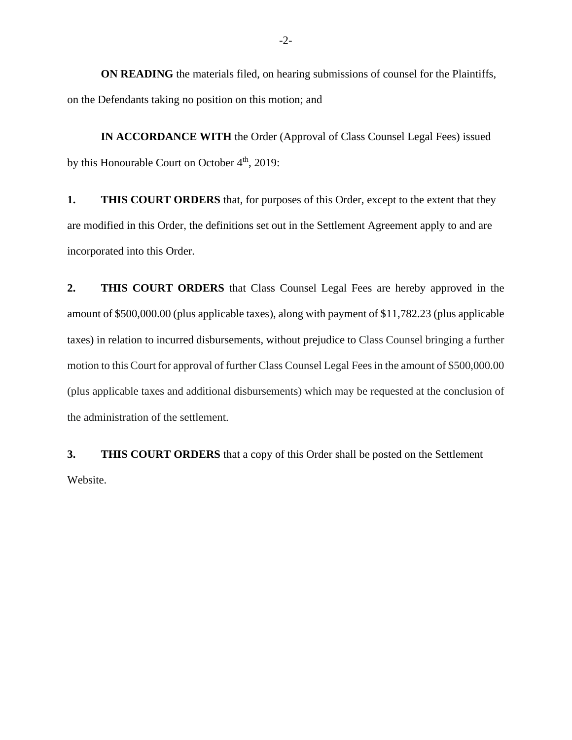**ON READING** the materials filed, on hearing submissions of counsel for the Plaintiffs, on the Defendants taking no position on this motion; and

**IN ACCORDANCE WITH** the Order (Approval of Class Counsel Legal Fees) issued by this Honourable Court on October  $4<sup>th</sup>$ , 2019:

**1. THIS COURT ORDERS** that, for purposes of this Order, except to the extent that they are modified in this Order, the definitions set out in the Settlement Agreement apply to and are incorporated into this Order.

**2. THIS COURT ORDERS** that Class Counsel Legal Fees are hereby approved in the amount of \$500,000.00 (plus applicable taxes), along with payment of \$11,782.23 (plus applicable taxes) in relation to incurred disbursements, without prejudice to Class Counsel bringing a further motion to this Court for approval of further Class Counsel Legal Fees in the amount of \$500,000.00 (plus applicable taxes and additional disbursements) which may be requested at the conclusion of the administration of the settlement.

**3. THIS COURT ORDERS** that a copy of this Order shall be posted on the Settlement Website.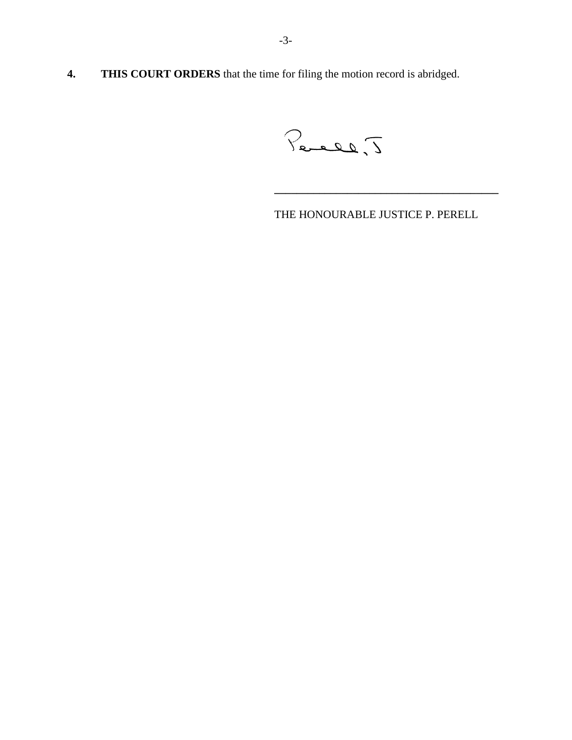**4. THIS COURT ORDERS** that the time for filing the motion record is abridged.

Percel, J

THE HONOURABLE JUSTICE P. PERELL

**\_\_\_\_\_\_\_\_\_\_\_\_\_\_\_\_\_\_\_\_\_\_\_\_\_\_\_\_\_\_\_\_\_\_\_\_\_\_\_\_**